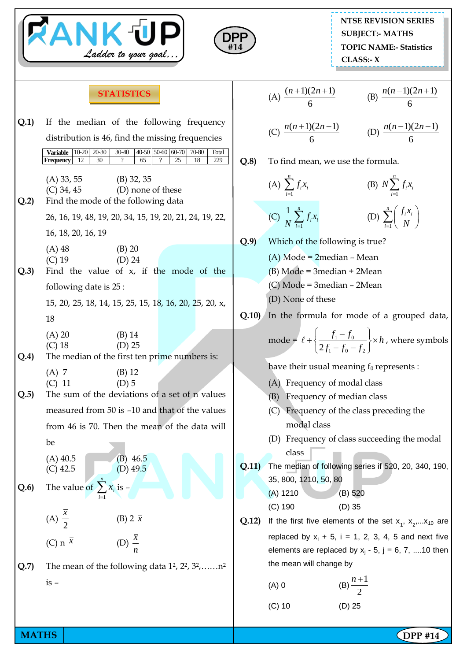|              | <b>RANK UP</b><br>Ladder to your goal                                                                                                                                                                                                                           | <b>NTSE REVISION SERIES</b><br><b>SUBJECT:- MATHS</b><br>DPP<br><b>TOPIC NAME:- Statistics</b><br>#14<br>CLASS: X                                                                                                                                    |
|--------------|-----------------------------------------------------------------------------------------------------------------------------------------------------------------------------------------------------------------------------------------------------------------|------------------------------------------------------------------------------------------------------------------------------------------------------------------------------------------------------------------------------------------------------|
|              | <b>STATISTICS</b>                                                                                                                                                                                                                                               | (A) $\frac{(n+1)(2n+1)}{6}$ (B) $\frac{n(n-1)(2n+1)}{6}$                                                                                                                                                                                             |
| Q.1)         | If the median of the following frequency<br>distribution is 46, find the missing frequencies<br>$20-30$<br>$10 - 20$<br>$30 - 40$<br>40-50 50-60 60-70<br>70-80<br>Variable<br>Total<br>30<br>12<br>65<br>25<br>18<br>229<br><b>Frequency</b><br>$\overline{?}$ | (C) $\frac{n(n+1)(2n-1)}{6}$ (D) $\frac{n(n-1)(2n-1)}{6}$<br>Q.8<br>To find mean, we use the formula.                                                                                                                                                |
| Q.2          | $(A) 33, 55$ (B) 32, 35<br>(D) none of these<br>$(C)$ 34, 45<br>Find the mode of the following data                                                                                                                                                             | (A) $\sum_{i=1}^{n} f_i x_i$<br>(B) $N\sum_{i=1}^{n} f_i x_i$                                                                                                                                                                                        |
|              | 26, 16, 19, 48, 19, 20, 34, 15, 19, 20, 21, 24, 19, 22,<br>16, 18, 20, 16, 19<br>$(B)$ 20<br>$(A)$ 48<br>$(C)$ 19<br>$(D)$ 24                                                                                                                                   | (D) $\sum_{i=1}^{n} \left( \frac{f_i x_i}{N} \right)$<br>(C) $\frac{1}{N} \sum_{i=1}^{n} f_i x_i$<br>Q.9<br>Which of the following is true?<br>$(A)$ Mode = 2median - Mean                                                                           |
| Q.3          | Find the value of $x$ , if the mode of the<br>following date is 25:<br>15, 20, 25, 18, 14, 15, 25, 15, 18, 16, 20, 25, 20, x,<br>18                                                                                                                             | $(B)$ Mode = 3median + 2Mean<br>$(C)$ Mode = 3 median – 2 Mean<br>(D) None of these<br>In the formula for mode of a grouped data,<br>Q.10)                                                                                                           |
| Q.4)         | (A) 20<br>$(B)$ 14<br>$(C)$ 18<br>$(D)$ 25<br>The median of the first ten prime numbers is:                                                                                                                                                                     | mode = $\ell$ + $\left\{\frac{f_1 - f_0}{2f_1 - f_0 - f_2}\right\} \times h$ , where symbols<br>have their usual meaning $f_0$ represents :                                                                                                          |
| Q.5          | $(A)$ 7<br>$(B)$ 12<br>$(D)$ 5<br>$(C)$ 11<br>The sum of the deviations of a set of n values<br>measured from 50 is -10 and that of the values<br>from 46 is 70. Then the mean of the data will<br>be<br>$(A)$ 40.5<br>$(B)$ 46.5<br>(D) $49.5$<br>$(C)$ 42.5   | (A) Frequency of modal class<br>Frequency of median class<br>(B)<br>(C) Frequency of the class preceding the<br>modal class<br>(D) Frequency of class succeeding the modal<br>class<br>The median of following series if 520, 20, 340, 190,<br>Q.11) |
| Q.6          | The value of $\sum x_i$ is -<br>(A) $\frac{\overline{x}}{2}$<br>(B) $2 \bar{x}$                                                                                                                                                                                 | 35, 800, 1210, 50, 80<br>$(A)$ 1210<br>(B) 520<br>$(C)$ 190<br>$(D)$ 35<br>Q.12)<br>If the first five elements of the set $x_1$ , $x_2$ , $x_{10}$ are<br>replaced by $x_i + 5$ , $i = 1, 2, 3, 4, 5$ and next five                                  |
| Q.7          | (D) $\frac{\bar{x}}{x}$<br>(C) n $\bar{x}$<br>The mean of the following data $1^2$ , $2^2$ , $3^2$ , $n^2$<br>$is -$                                                                                                                                            | elements are replaced by $x_j - 5$ , $j = 6, 7,  10$ then<br>the mean will change by<br>(B) $\frac{n+1}{2}$<br>(A) 0<br>$(D)$ 25<br>$(C)$ 10                                                                                                         |
| <b>MATHS</b> |                                                                                                                                                                                                                                                                 | $\Omega$ DPP #14                                                                                                                                                                                                                                     |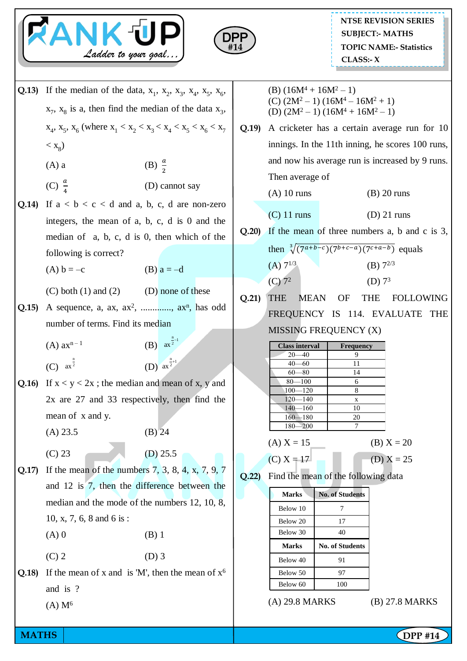



- **Q.13**) If the median of the data,  $x_1$ ,  $x_2$ ,  $x_3$ ,  $x_4$ ,  $x_5$ ,  $x_6$ ,  $x_7$ ,  $x_8$  is a, then find the median of the data  $x_3$ ,  $x_4, x_5, x_6$  (where  $x_1 < x_2 < x_3 < x_4 < x_5 < x_6 < x_7$  $<$   $\mathbf{x}_8$ )  $(A)$  a (B)  $\frac{a}{2}$ (C)  $\frac{a}{4}$ (D) cannot say **Q.14)** If  $a < b < c < d$  and a, b, c, d are non-zero integers, the mean of a, b, c, d is 0 and the median of a, b, c, d is 0, then which of the following is correct? (A)  $b = -c$  (B)  $a = -d$ (C) both  $(1)$  and  $(2)$  (D) none of these **Q.15)** A sequence, a, ax,  $ax^2$ , ..............,  $ax^n$ , has odd number of terms. Find its median  $(A)$  ax<sup>n-1</sup> (B)  $ax^{\frac{n}{2}-1}$ (C)  $ax^{\frac{n}{2}}$  (D) **Q.16)** If  $x < y < 2x$ ; the median and mean of x, y and 2x are 27 and 33 respectively, then find the mean of x and y.  $(A) 23.5$  (B) 24  $(C) 23$  (D) 25.5 **Q.17)** If the mean of the numbers 7, 3, 8, 4, x, 7, 9, 7 and 12 is 7, then the difference between the median and the mode of the numbers 12, 10, 8, 10, x, 7, 6, 8 and 6 is :  $(A) 0$  (B) 1  $(C) 2$  (D) 3 **Q.18)** If the mean of x and is 'M', then the mean of  $x^6$ and is ?  $(A)$  M<sup>6</sup>  $ax^{\frac{n}{2}+1}$
- (B)  $(16M^4 + 16M^2 1)$ (C)  $(2M^2 - 1) (16M^4 - 16M^2 + 1)$ (D)  $(2M^2 - 1) (16M^4 + 16M^2 - 1)$
- **Q.19)** A cricketer has a certain average run for 10 innings. In the 11th inning, he scores 100 runs, and now his average run is increased by 9 runs. Then average of
	- (A) 10 runs (B) 20 runs
	- (C) 11 runs (D) 21 runs
- **Q.20)** If the mean of three numbers a, b and c is 3,
	- then  $\sqrt[3]{(7^{a+b-c})(7^{b+c-a})(7^{c+a-b})}$  equals (A)  $7^{1/3}$  (B)  $7^{2/3}$  $(C) 7<sup>2</sup>$ (D)  $7^3$
- **Q.21)** THE MEAN OF THE FOLLOWING FREQUENCY IS 114. EVALUATE THE MISSING FREQUENCY (X)

| <b>Class interval</b> | <b>Frequency</b> |
|-----------------------|------------------|
| $20 - 40$             | Q,               |
| $40 - 60$             | 11               |
| $60 - 80$             | 14               |
| $80 - 100$            | 6                |
| $100 - 120$           | 8                |
| $120 - 140$           | X                |
| $140 - 160$           | 10               |
| $160 - 180$           | 20               |
| $180 - 200$           |                  |

(A)  $X = 15$  (B)  $X = 20$ 

(C)  $X = 17$  (D)  $X = 25$ 

**Q.22)** Find the mean of the following data

| Marks    | <b>No. of Students</b> |  |  |
|----------|------------------------|--|--|
| Below 10 |                        |  |  |
| Below 20 | 17                     |  |  |
| Below 30 | 40                     |  |  |
|          |                        |  |  |
| Marks    | <b>No. of Students</b> |  |  |
| Below 40 | 91                     |  |  |
| Below 50 | 97                     |  |  |
| Below 60 | 100                    |  |  |

(A) 29.8 MARKS (B) 27.8 MARKS

**MATHS DPP** #14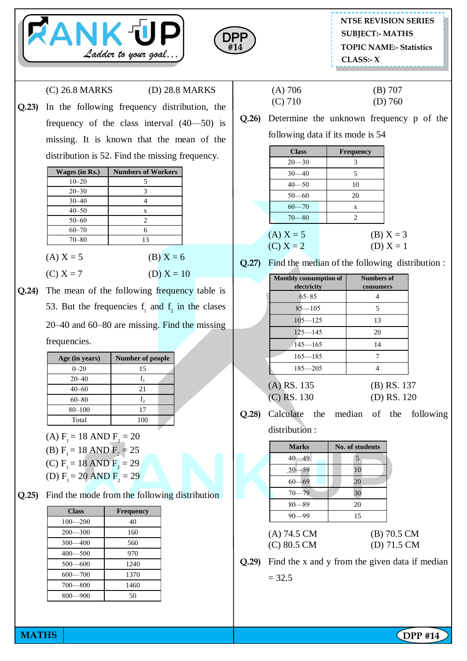



(C) 26.8 MARKS (D) 28.8 MARKS

**Q.23)** In the following frequency distribution, the frequency of the class interval (40—50) is missing. It is known that the mean of the distribution is 52. Find the missing frequency.

| Wages (in Rs.) | <b>Numbers of Workers</b> |
|----------------|---------------------------|
| $10 - 20$      | 5                         |
| $20 - 30$      | 3                         |
| $30 - 40$      |                           |
| $40 - 50$      | X                         |
| $50 - 60$      | 2                         |
| $60 - 70$      | 6                         |
| $70 - 80$      | 13                        |
|                |                           |

- (A)  $X = 5$  (B)  $X = 6$
- (C)  $X = 7$  (D)  $X = 10$
- **Q.24)** The mean of the following frequency table is 53. But the frequencies  $f_1$  and  $f_2$  in the clases 20–40 and 60–80 are missing. Find the missing frequencies.

| Age (in years) | <b>Number of people</b> |  |  |
|----------------|-------------------------|--|--|
| $0 - 20$       | 15                      |  |  |
| $20 - 40$      | $f_{1}$                 |  |  |
| $40 - 60$      | 21                      |  |  |
| $60 - 80$      | f,                      |  |  |
| $80 - 100$     | 17                      |  |  |
| Total          | 100                     |  |  |

- (A)  $F_1 = 18$  AND  $F_2 = 20$
- (B)  $F_1 = 18$  AND  $F_2 = 25$
- (C)  $F_1 = 18 \text{ AND } F_2 = 29$
- (D)  $F_1 = 20$  AND  $F_2 = 29$

**Q.25)** Find the mode from the following distribution

| <b>Class</b> | <b>Frequency</b> |
|--------------|------------------|
| $100 - 200$  | 40               |
| $200 - 300$  | 160              |
| $300 - 400$  | 560              |
| $400 - 500$  | 970              |
| $500 - 600$  | 1240             |
| $600 - 700$  | 1370             |
| $700 - 800$  | 1460             |
| $800 - 900$  | 50               |

(A) 706 (B) 707

- (C) 710 (D) 760
- **Q.26)** Determine the unknown frequency p of the following data if its mode is 54

| <b>Class</b>               | <b>Frequency</b> |                            |
|----------------------------|------------------|----------------------------|
| $20 - 30$                  | 3                |                            |
| $30 - 40$                  | 5                |                            |
| $40 - 50$                  | 10               |                            |
| $50 - 60$                  | 20               |                            |
| $60 - 70$                  | X                |                            |
| $70 - 80$                  | 2                |                            |
| (A) $X = 5$<br>(C) $X = 2$ |                  | (B) $X = 3$<br>(D) $X = 1$ |

**Q.27)** Find the median of the following distribution :

| Monthly consumption of<br>electricity | <b>Numbers of</b><br>consumers |
|---------------------------------------|--------------------------------|
| $65 - 85$                             |                                |
| $85 - 105$                            | 5                              |
| $105 - 125$                           | 13                             |
| $125 - 145$                           | 20                             |
| $145 - 165$                           | 14                             |
| $165 - 185$                           |                                |
| $185 - 205$                           |                                |
| $(\Delta)$ RS<br>- 135                | (R) R C<br>13                  |

- (A) RS. 135 (B) RS. 137 (C) RS. 130 (D) RS. 120
- **Q.28)** Calculate the median of the following distribution :

| <b>Marks</b>               | No. of students |  |  |
|----------------------------|-----------------|--|--|
| -49<br>40                  | 5               |  |  |
| $50 - 59$                  | 10              |  |  |
| $-69$<br>$60 -$            | 20              |  |  |
| $70 - 79$                  | 30              |  |  |
| $80 - 89$                  | 20              |  |  |
| $90 - 99$                  | 15              |  |  |
| .<br>$\sim$<br>$\sim$<br>- | $\sim$          |  |  |

- (A) 74.5 CM (B) 70.5 CM (C) 80.5 CM (D) 71.5 CM
	-
- **Q.29)** Find the x and y from the given data if median  $= 32.5$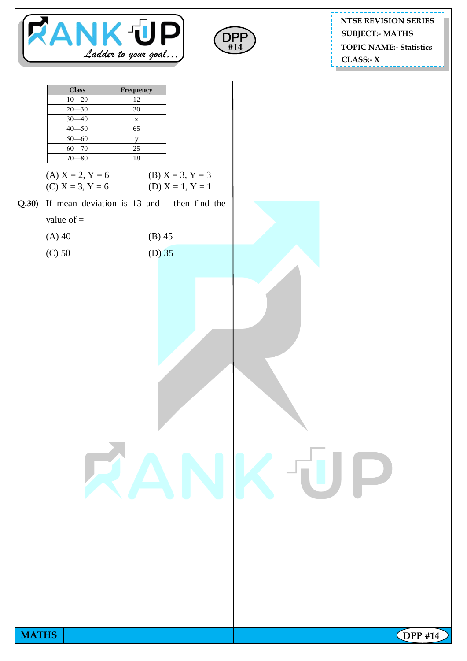



## **NTSE REVISION SERIES TOPIC NAME:- Statistics CLASS:- X SUBJECT:- MATHS**